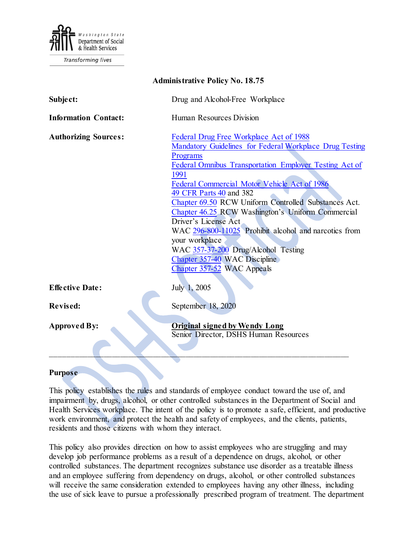

**Transforming lives** 

| <b>Administrative Policy No. 18.75</b> |                                                                                                                                                                                                                                                                                                                                                                                                                                                                                                                                                                                   |
|----------------------------------------|-----------------------------------------------------------------------------------------------------------------------------------------------------------------------------------------------------------------------------------------------------------------------------------------------------------------------------------------------------------------------------------------------------------------------------------------------------------------------------------------------------------------------------------------------------------------------------------|
| Subject:                               | Drug and Alcohol-Free Workplace                                                                                                                                                                                                                                                                                                                                                                                                                                                                                                                                                   |
| <b>Information Contact:</b>            | Human Resources Division                                                                                                                                                                                                                                                                                                                                                                                                                                                                                                                                                          |
| <b>Authorizing Sources:</b>            | Federal Drug Free Workplace Act of 1988<br>Mandatory Guidelines for Federal Workplace Drug Testing<br>Programs<br>Federal Omnibus Transportation Employer Testing Act of<br>1991<br>Federal Commercial Motor Vehicle Act of 1986<br>49 CFR Parts 40 and 382<br>Chapter 69.50 RCW Uniform Controlled Substances Act.<br>Chapter 46.25 RCW Washington's Uniform Commercial<br>Driver's License Act<br>WAC 296-800-11025 Prohibit alcohol and narcotics from<br>your workplace<br>WAC 357-37-200 Drug/Alcohol Testing<br>Chapter 357-40 WAC Discipline<br>Chapter 357-52 WAC Appeals |
| <b>Effective Date:</b>                 | July 1, 2005                                                                                                                                                                                                                                                                                                                                                                                                                                                                                                                                                                      |
| <b>Revised:</b>                        | September 18, 2020                                                                                                                                                                                                                                                                                                                                                                                                                                                                                                                                                                |
| <b>Approved By:</b>                    | <b>Original signed by Wendy Long</b><br>Senior Director, DSHS Human Resources                                                                                                                                                                                                                                                                                                                                                                                                                                                                                                     |

### **Purpose**

This policy establishes the rules and standards of employee conduct toward the use of, and impairment by, drugs, alcohol, or other controlled substances in the Department of Social and Health Services workplace. The intent of the policy is to promote a safe, efficient, and productive work environment, and protect the health and safety of employees, and the clients, patients, residents and those citizens with whom they interact.

This policy also provides direction on how to assist employees who are struggling and may develop job performance problems as a result of a dependence on drugs, alcohol, or other controlled substances. The department recognizes substance use disorder as a treatable illness and an employee suffering from dependency on drugs, alcohol, or other controlled substances will receive the same consideration extended to employees having any other illness, including the use of sick leave to pursue a professionally prescribed program of treatment. The department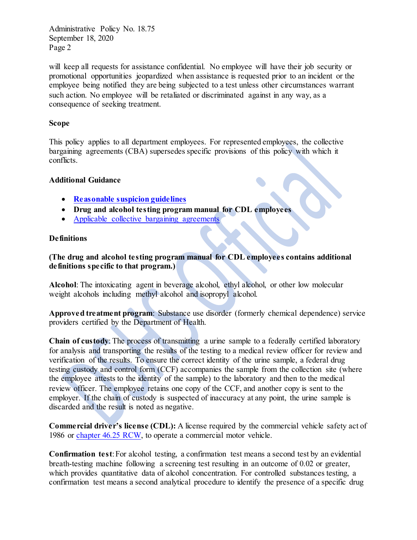will keep all requests for assistance confidential. No employee will have their job security or promotional opportunities jeopardized when assistance is requested prior to an incident or the employee being notified they are being subjected to a test unless other circumstances warrant such action. No employee will be retaliated or discriminated against in any way, as a consequence of seeking treatment.

## **Scope**

This policy applies to all department employees. For represented employees, the collective bargaining agreements (CBA) supersedes specific provisions of this policy with which it conflicts.

### **Additional Guidance**

- **[Reasonable suspicion guidelines](http://hrd.dshs.wa.gov/Top_Toolbar/Guidlines_and_Best_Practices/documents/ReasonableSuspicionGuidelines.pdf)**
- **Drug and alcohol testing program manual for CDL employees**
- [Applicable collective bargaining agreements](https://ofm.wa.gov/state-human-resources/labor-relations/collective-bargaining-agreements/2019-21-collective-bargaining-agreements)

## **Definitions**

**(The drug and alcohol testing program manual for CDL employees contains additional definitions specific to that program.)**

**Alcohol**: The intoxicating agent in beverage alcohol, ethyl alcohol, or other low molecular weight alcohols including methyl alcohol and isopropyl alcohol.

**Approved treatment program**: Substance use disorder (formerly chemical dependence) service providers certified by the Department of Health.

**Chain of custody**: The process of transmitting a urine sample to a federally certified laboratory for analysis and transporting the results of the testing to a medical review officer for review and verification of the results. To ensure the correct identity of the urine sample, a federal drug testing custody and control form (CCF) accompanies the sample from the collection site (where the employee attests to the identity of the sample) to the laboratory and then to the medical review officer. The employee retains one copy of the CCF, and another copy is sent to the employer. If the chain of custody is suspected of inaccuracy at any point, the urine sample is discarded and the result is noted as negative.

**Commercial driver's license (CDL):** A license required by the commercial vehicle safety act of 1986 or [chapter 46.25 RCW,](http://apps.leg.wa.gov/RCW/default.aspx?cite=46.25) to operate a commercial motor vehicle.

**Confirmation test**: For alcohol testing, a confirmation test means a second test by an evidential breath-testing machine following a screening test resulting in an outcome of 0.02 or greater, which provides quantitative data of alcohol concentration. For controlled substances testing, a confirmation test means a second analytical procedure to identify the presence of a specific drug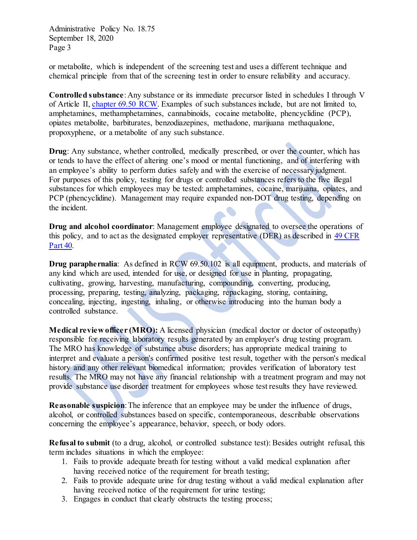or metabolite, which is independent of the screening test and uses a different technique and chemical principle from that of the screening test in order to ensure reliability and accuracy.

**Controlled substance**: Any substance or its immediate precursor listed in schedules I through V of Article II, [chapter 69.50 RCW.](http://apps.leg.wa.gov/RCW/default.aspx?cite=69.50) Examples of such substances include, but are not limited to, amphetamines, methamphetamines, cannabinoids, cocaine metabolite, phencyclidine (PCP), opiates metabolite, barbiturates, benzodiazepines, methadone, marijuana methaqualone, propoxyphene, or a metabolite of any such substance.

**Drug**: Any substance, whether controlled, medically prescribed, or over the counter, which has or tends to have the effect of altering one's mood or mental functioning, and of interfering with an employee's ability to perform duties safely and with the exercise of necessary judgment. For purposes of this policy, testing for drugs or controlled substances refers to the five illegal substances for which employees may be tested: amphetamines, cocaine, marijuana, opiates, and PCP (phencyclidine). Management may require expanded non-DOT drug testing, depending on the incident.

**Drug and alcohol coordinator**: Management employee designated to oversee the operations of this policy, and to act as the designated employer representative (DER) as described in [49 CFR](http://www.access.gpo.gov/nara/cfr/waisidx_06/49cfr40_06.html)  [Part 40.](http://www.access.gpo.gov/nara/cfr/waisidx_06/49cfr40_06.html)

**Drug paraphernalia**: As defined in RCW 69.50.102 is all equipment, products, and materials of any kind which are used, intended for use, or designed for use in planting, propagating, cultivating, growing, harvesting, manufacturing, compounding, converting, producing, processing, preparing, testing, analyzing, packaging, repackaging, storing, containing, concealing, injecting, ingesting, inhaling, or otherwise introducing into the human body a controlled substance.

**Medical review officer (MRO):** A licensed physician (medical doctor or doctor of osteopathy) responsible for receiving laboratory results generated by an employer's drug testing program. The MRO has knowledge of substance abuse disorders; has appropriate medical training to interpret and evaluate a person's confirmed positive test result, together with the person's medical history and any other relevant biomedical information; provides verification of laboratory test results. The MRO may not have any financial relationship with a treatment program and may not provide substance use disorder treatment for employees whose test results they have reviewed.

**Reasonable suspicion**: The inference that an employee may be under the influence of drugs, alcohol, or controlled substances based on specific, contemporaneous, describable observations concerning the employee's appearance, behavior, speech, or body odors.

**Refusal to submit** (to a drug, alcohol, or controlled substance test): Besides outright refusal, this term includes situations in which the employee:

- 1. Fails to provide adequate breath for testing without a valid medical explanation after having received notice of the requirement for breath testing:
- 2. Fails to provide adequate urine for drug testing without a valid medical explanation after having received notice of the requirement for urine testing;
- 3. Engages in conduct that clearly obstructs the testing process;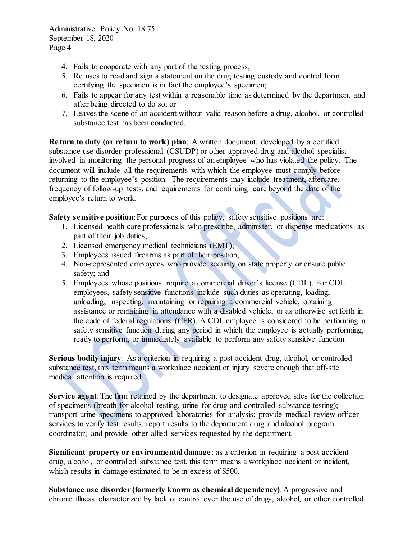- 4. Fails to cooperate with any part of the testing process;
- 5. Refuses to read and sign a statement on the drug testing custody and control form certifying the specimen is in fact the employee's specimen;
- 6. Fails to appear for any test within a reasonable time as determined by the department and after being directed to do so; or
- 7. Leaves the scene of an accident without valid reason before a drug, alcohol, or controlled substance test has been conducted.

**Return to duty (or return to work) plan**: A written document, developed by a certified substance use disorder professional (CSUDP) or other approved drug and alcohol specialist involved in monitoring the personal progress of an employee who has violated the policy. The document will include all the requirements with which the employee must comply before returning to the employee's position. The requirements may include treatment, aftercare, frequency of follow-up tests, and requirements for continuing care beyond the date of the employee's return to work.

**Safety** sensitive position: For purposes of this policy, safety sensitive positions are:

- 1. Licensed health care professionals who prescribe, administer, or dispense medications as part of their job duties;
- 2. Licensed emergency medical technicians (EMT);
- 3. Employees issued firearms as part of their position;
- 4. Non-represented employees who provide security on state property or ensure public safety; and
- 5. Employees whose positions require a commercial driver's license (CDL). For CDL employees, safety sensitive functions include such duties as operating, loading, unloading, inspecting, maintaining or repairing a commercial vehicle, obtaining assistance or remaining in attendance with a disabled vehicle, or as otherwise set forth in the code of federal regulations (CFR). A CDL employee is considered to be performing a safety sensitive function during any period in which the employee is actually performing, ready to perform, or immediately available to perform any safety sensitive function.

**Serious bodily injury**: As a criterion in requiring a post-accident drug, alcohol, or controlled substance test, this term means a workplace accident or injury severe enough that off-site medical attention is required.

**Service agent**: The firm retained by the department to designate approved sites for the collection of specimens (breath for alcohol testing, urine for drug and controlled substance testing); transport urine specimens to approved laboratories for analysis; provide medical review officer services to verify test results, report results to the department drug and alcohol program coordinator; and provide other allied services requested by the department.

**Significant property or environmental damage**: as a criterion in requiring a post-accident drug, alcohol, or controlled substance test, this term means a workplace accident or incident, which results in damage estimated to be in excess of \$500.

**Substance use disorder (formerly known as chemical dependency)**: A progressive and chronic illness characterized by lack of control over the use of drugs, alcohol, or other controlled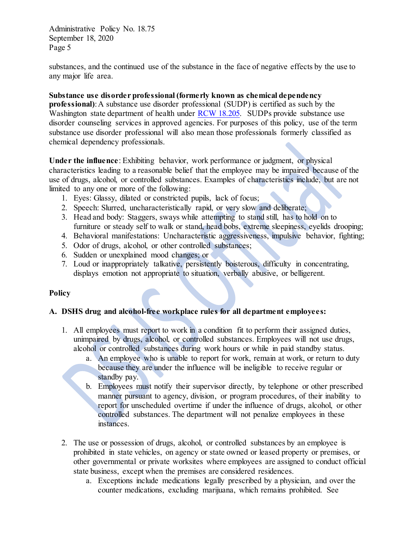substances, and the continued use of the substance in the face of negative effects by the use to any major life area.

**Substance use disorder professional (formerly known as chemical dependency professional)**: A substance use disorder professional (SUDP) is certified as such by the Washington state department of health under [RCW 18.205.](http://apps.leg.wa.gov/RCW/default.aspx?cite=18.205) SUDPs provide substance use disorder counseling services in approved agencies. For purposes of this policy, use of the term substance use disorder professional will also mean those professionals formerly classified as chemical dependency professionals.

**Under the influence**: Exhibiting behavior, work performance or judgment, or physical characteristics leading to a reasonable belief that the employee may be impaired because of the use of drugs, alcohol, or controlled substances. Examples of characteristics include, but are not limited to any one or more of the following:

- 1. Eyes: Glassy, dilated or constricted pupils, lack of focus;
- 2. Speech: Slurred, uncharacteristically rapid, or very slow and deliberate;
- 3. Head and body: Staggers, sways while attempting to stand still, has to hold on to furniture or steady self to walk or stand, head bobs, extreme sleepiness, eyelids drooping;
- 4. Behavioral manifestations: Uncharacteristic aggressiveness, impulsive behavior, fighting;
- 5. Odor of drugs, alcohol, or other controlled substances;
- 6. Sudden or unexplained mood changes; or
- 7. Loud or inappropriately talkative, persistently boisterous, difficulty in concentrating, displays emotion not appropriate to situation, verbally abusive, or belligerent.

# **Policy**

# **A. DSHS drug and alcohol-free workplace rules for all department employees:**

- 1. All employees must report to work in a condition fit to perform their assigned duties, unimpaired by drugs, alcohol, or controlled substances. Employees will not use drugs, alcohol or controlled substances during work hours or while in paid standby status.
	- a. An employee who is unable to report for work, remain at work, or return to duty because they are under the influence will be ineligible to receive regular or standby pay.
	- b. Employees must notify their supervisor directly, by telephone or other prescribed manner pursuant to agency, division, or program procedures, of their inability to report for unscheduled overtime if under the influence of drugs, alcohol, or other controlled substances. The department will not penalize employees in these instances.
- 2. The use or possession of drugs, alcohol, or controlled substances by an employee is prohibited in state vehicles, on agency or state owned or leased property or premises, or other governmental or private worksites where employees are assigned to conduct official state business, except when the premises are considered residences.
	- a. Exceptions include medications legally prescribed by a physician, and over the counter medications, excluding marijuana, which remains prohibited. See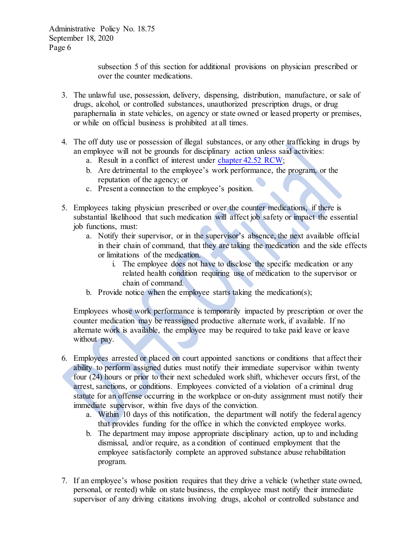subsection 5 of this section for additional provisions on physician prescribed or over the counter medications.

- 3. The unlawful use, possession, delivery, dispensing, distribution, manufacture, or sale of drugs, alcohol, or controlled substances, unauthorized prescription drugs, or drug paraphernalia in state vehicles, on agency or state owned or leased property or premises, or while on official business is prohibited at all times.
- 4. The off duty use or possession of illegal substances, or any other trafficking in drugs by an employee will not be grounds for disciplinary action unless said activities:
	- a. Result in a conflict of interest under [chapter 42.52 RCW;](https://apps.leg.wa.gov/rcw/default.aspx?cite=42.52)
	- b. Are detrimental to the employee's work performance, the program, or the reputation of the agency; or
	- c. Present a connection to the employee's position.
- 5. Employees taking physician prescribed or over the counter medications, if there is substantial likelihood that such medication will affect job safety or impact the essential job functions, must:
	- a. Notify their supervisor, or in the supervisor's absence, the next available official in their chain of command, that they are taking the medication and the side effects or limitations of the medication.
		- i. The employee does not have to disclose the specific medication or any related health condition requiring use of medication to the supervisor or chain of command.
	- b. Provide notice when the employee starts taking the medication(s);

Employees whose work performance is temporarily impacted by prescription or over the counter medication may be reassigned productive alternate work, if available. If no alternate work is available, the employee may be required to take paid leave or leave without pay.

- 6. Employees arrested or placed on court appointed sanctions or conditions that affect their ability to perform assigned duties must notify their immediate supervisor within twenty four (24) hours or prior to their next scheduled work shift, whichever occurs first, of the arrest, sanctions, or conditions. Employees convicted of a violation of a criminal drug statute for an offense occurring in the workplace or on-duty assignment must notify their immediate supervisor, within five days of the conviction.
	- a. Within 10 days of this notification, the department will notify the federal agency that provides funding for the office in which the convicted employee works.
	- b. The department may impose appropriate disciplinary action, up to and including dismissal, and/or require, as a condition of continued employment that the employee satisfactorily complete an approved substance abuse rehabilitation program.
- 7. If an employee's whose position requires that they drive a vehicle (whether state owned, personal, or rented) while on state business, the employee must notify their immediate supervisor of any driving citations involving drugs, alcohol or controlled substance and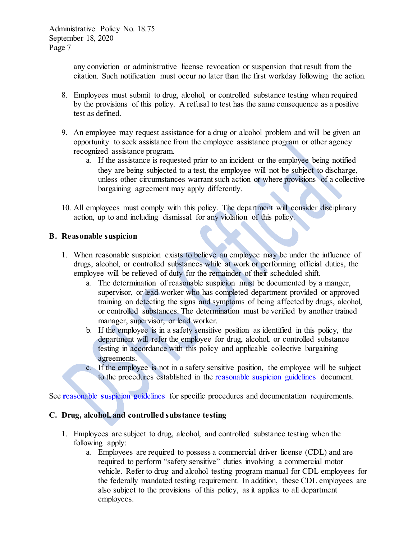any conviction or administrative license revocation or suspension that result from the citation. Such notification must occur no later than the first workday following the action.

- 8. Employees must submit to drug, alcohol, or controlled substance testing when required by the provisions of this policy. A refusal to test has the same consequence as a positive test as defined.
- 9. An employee may request assistance for a drug or alcohol problem and will be given an opportunity to seek assistance from the employee assistance program or other agency recognized assistance program.
	- a. If the assistance is requested prior to an incident or the employee being notified they are being subjected to a test, the employee will not be subject to discharge, unless other circumstances warrant such action or where provisions of a collective bargaining agreement may apply differently.
- 10. All employees must comply with this policy. The department will consider disciplinary action, up to and including dismissal for any violation of this policy.

## **B. Reasonable suspicion**

- 1. When reasonable suspicion exists to believe an employee may be under the influence of drugs, alcohol, or controlled substances while at work or performing official duties, the employee will be relieved of duty for the remainder of their scheduled shift.
	- a. The determination of reasonable suspicion must be documented by a manger, supervisor, or lead worker who has completed department provided or approved training on detecting the signs and symptoms of being affected by drugs, alcohol, or controlled substances. The determination must be verified by another trained manager, supervisor, or lead worker.
	- b. If the employee is in a safety sensitive position as identified in this policy, the department will refer the employee for drug, alcohol, or controlled substance testing in accordance with this policy and applicable collective bargaining agreements.
	- c. If the employee is not in a safety sensitive position, the employee will be subject to the procedures established in the [reasonable suspicion guidelines](http://hrd.dshs.wa.gov/Top_Toolbar/Guidlines_and_Best_Practices/documents/ReasonableSuspicionGuidelines.pdf) document.

See **r**[easonable](http://hrd.dshs.wa.gov/Top_Toolbar/Guidlines_and_Best_Practices/documents/ReasonableSuspicionGuidelines.pdf) **s**uspicion **g**uidelines for specific procedures and documentation requirements.

## **C. Drug, alcohol, and controlled substance testing**

- 1. Employees are subject to drug, alcohol, and controlled substance testing when the following apply:
	- a. Employees are required to possess a commercial driver license (CDL) and are required to perform "safety sensitive" duties involving a commercial motor vehicle. Refer to drug and alcohol testing program manual for CDL employees for the federally mandated testing requirement. In addition, these CDL employees are also subject to the provisions of this policy, as it applies to all department employees.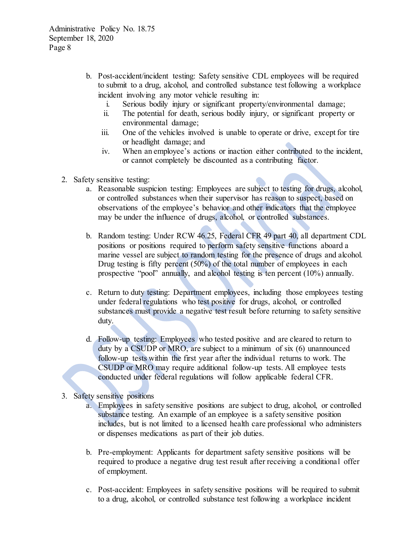- b. Post-accident/incident testing: Safety sensitive CDL employees will be required to submit to a drug, alcohol, and controlled substance test following a workplace incident involving any motor vehicle resulting in:
	- i. Serious bodily injury or significant property/environmental damage;
	- ii. The potential for death, serious bodily injury, or significant property or environmental damage;
	- iii. One of the vehicles involved is unable to operate or drive, except for tire or headlight damage; and
	- iv. When an employee's actions or inaction either contributed to the incident, or cannot completely be discounted as a contributing factor.
- 2. Safety sensitive testing:
	- a. Reasonable suspicion testing: Employees are subject to testing for drugs, alcohol, or controlled substances when their supervisor has reason to suspect, based on observations of the employee's behavior and other indicators that the employee may be under the influence of drugs, alcohol, or controlled substances.
	- b. Random testing: Under RCW 46.25, Federal CFR 49 part 40, all department CDL positions or positions required to perform safety sensitive functions aboard a marine vessel are subject to random testing for the presence of drugs and alcohol. Drug testing is fifty percent (50%) of the total number of employees in each prospective "pool" annually, and alcohol testing is ten percent (10%) annually.
	- c. Return to duty testing: Department employees, including those employees testing under federal regulations who test positive for drugs, alcohol, or controlled substances must provide a negative test result before returning to safety sensitive duty.
	- d. Follow-up testing: Employees who tested positive and are cleared to return to duty by a CSUDP or MRO, are subject to a minimum of six (6) unannounced follow-up tests within the first year after the individual returns to work. The CSUDP or MRO may require additional follow-up tests. All employee tests conducted under federal regulations will follow applicable federal CFR.
- 3. Safety sensitive positions
	- a. Employees in safety sensitive positions are subject to drug, alcohol, or controlled substance testing. An example of an employee is a safety sensitive position includes, but is not limited to a licensed health care professional who administers or dispenses medications as part of their job duties.
	- b. Pre-employment: Applicants for department safety sensitive positions will be required to produce a negative drug test result after receiving a conditional offer of employment.
	- c. Post-accident: Employees in safety sensitive positions will be required to submit to a drug, alcohol, or controlled substance test following a workplace incident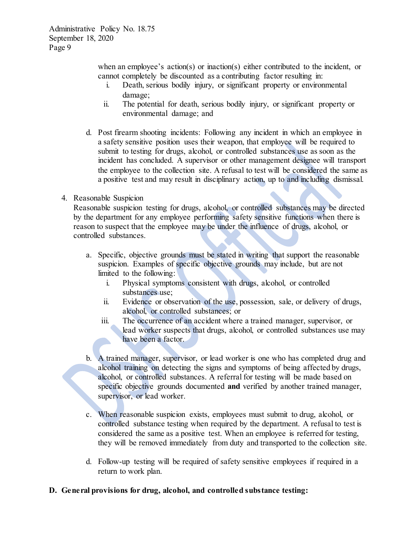when an employee's action(s) or inaction(s) either contributed to the incident, or cannot completely be discounted as a contributing factor resulting in:

- i. Death, serious bodily injury, or significant property or environmental damage;
- ii. The potential for death, serious bodily injury, or significant property or environmental damage; and
- d. Post firearm shooting incidents: Following any incident in which an employee in a safety sensitive position uses their weapon, that employee will be required to submit to testing for drugs, alcohol, or controlled substances use as soon as the incident has concluded. A supervisor or other management designee will transport the employee to the collection site. A refusal to test will be considered the same as a positive test and may result in disciplinary action, up to and including dismissal.
- 4. Reasonable Suspicion

Reasonable suspicion testing for drugs, alcohol, or controlled substances may be directed by the department for any employee performing safety sensitive functions when there is reason to suspect that the employee may be under the influence of drugs, alcohol, or controlled substances.

- a. Specific, objective grounds must be stated in writing that support the reasonable suspicion. Examples of specific objective grounds may include, but are not limited to the following:
	- i. Physical symptoms consistent with drugs, alcohol, or controlled substances use;
	- ii. Evidence or observation of the use, possession, sale, or delivery of drugs, alcohol, or controlled substances; or
	- iii. The occurrence of an accident where a trained manager, supervisor, or lead worker suspects that drugs, alcohol, or controlled substances use may have been a factor.
- b. A trained manager, supervisor, or lead worker is one who has completed drug and alcohol training on detecting the signs and symptoms of being affected by drugs, alcohol, or controlled substances. A referral for testing will be made based on specific objective grounds documented **and** verified by another trained manager, supervisor, or lead worker.
- c. When reasonable suspicion exists, employees must submit to drug, alcohol, or controlled substance testing when required by the department. A refusal to test is considered the same as a positive test. When an employee is referred for testing, they will be removed immediately from duty and transported to the collection site.
- d. Follow-up testing will be required of safety sensitive employees if required in a return to work plan.

### **D. General provisions for drug, alcohol, and controlled substance testing:**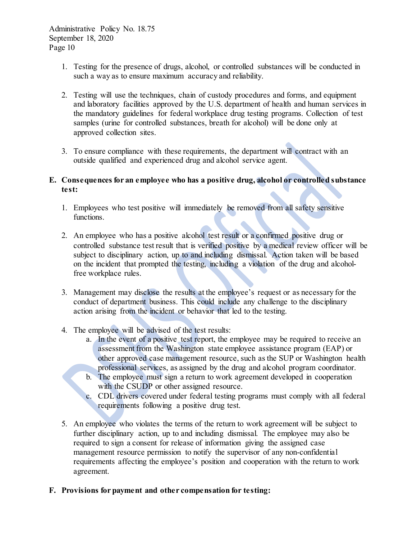- 1. Testing for the presence of drugs, alcohol, or controlled substances will be conducted in such a way as to ensure maximum accuracy and reliability.
- 2. Testing will use the techniques, chain of custody procedures and forms, and equipment and laboratory facilities approved by the U.S. department of health and human services in the mandatory guidelines for federal workplace drug testing programs. Collection of test samples (urine for controlled substances, breath for alcohol) will be done only at approved collection sites.
- 3. To ensure compliance with these requirements, the department will contract with an outside qualified and experienced drug and alcohol service agent.

## **E. Consequences for an employee who has a positive drug, alcohol or controlled substance test:**

- 1. Employees who test positive will immediately be removed from all safety sensitive functions.
- 2. An employee who has a positive alcohol test result or a confirmed positive drug or controlled substance test result that is verified positive by a medical review officer will be subject to disciplinary action, up to and including dismissal. Action taken will be based on the incident that prompted the testing, including a violation of the drug and alcoholfree workplace rules.
- 3. Management may disclose the results at the employee's request or as necessary for the conduct of department business. This could include any challenge to the disciplinary action arising from the incident or behavior that led to the testing.
- 4. The employee will be advised of the test results:
	- a. In the event of a positive test report, the employee may be required to receive an assessment from the Washington state employee assistance program (EAP) or other approved case management resource, such as the SUP or Washington health professional services, as assigned by the drug and alcohol program coordinator.
	- b. The employee must sign a return to work agreement developed in cooperation with the CSUDP or other assigned resource.
	- c. CDL drivers covered under federal testing programs must comply with all federal requirements following a positive drug test.
- 5. An employee who violates the terms of the return to work agreement will be subject to further disciplinary action, up to and including dismissal. The employee may also be required to sign a consent for release of information giving the assigned case management resource permission to notify the supervisor of any non-confidential requirements affecting the employee's position and cooperation with the return to work agreement.

# **F. Provisions for payment and other compensation for testing:**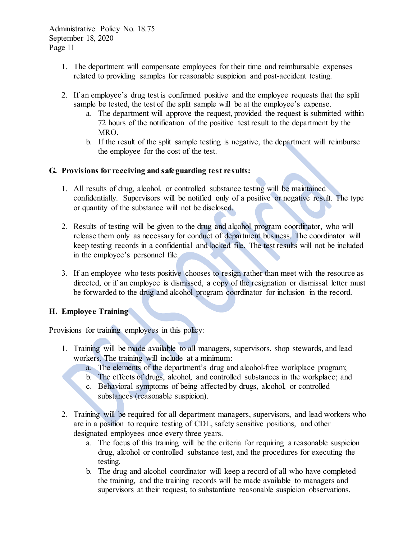- 1. The department will compensate employees for their time and reimbursable expenses related to providing samples for reasonable suspicion and post-accident testing.
- 2. If an employee's drug test is confirmed positive and the employee requests that the split sample be tested, the test of the split sample will be at the employee's expense.
	- a. The department will approve the request, provided the request is submitted within 72 hours of the notification of the positive test result to the department by the MRO.
	- b. If the result of the split sample testing is negative, the department will reimburse the employee for the cost of the test.

## **G. Provisions for receiving and safeguarding test results:**

- 1. All results of drug, alcohol, or controlled substance testing will be maintained confidentially. Supervisors will be notified only of a positive or negative result. The type or quantity of the substance will not be disclosed.
- 2. Results of testing will be given to the drug and alcohol program coordinator, who will release them only as necessary for conduct of department business. The coordinator will keep testing records in a confidential and locked file. The test results will not be included in the employee's personnel file.
- 3. If an employee who tests positive chooses to resign rather than meet with the resource as directed, or if an employee is dismissed, a copy of the resignation or dismissal letter must be forwarded to the drug and alcohol program coordinator for inclusion in the record.

# **H. Employee Training**

Provisions for training employees in this policy:

- 1. Training will be made available to all managers, supervisors, shop stewards, and lead workers. The training will include at a minimum:
	- a. The elements of the department's drug and alcohol-free workplace program;
	- b. The effects of drugs, alcohol, and controlled substances in the workplace; and
	- c. Behavioral symptoms of being affected by drugs, alcohol, or controlled substances (reasonable suspicion).
- 2. Training will be required for all department managers, supervisors, and lead workers who are in a position to require testing of CDL, safety sensitive positions, and other designated employees once every three years.
	- a. The focus of this training will be the criteria for requiring a reasonable suspicion drug, alcohol or controlled substance test, and the procedures for executing the testing.
	- b. The drug and alcohol coordinator will keep a record of all who have completed the training, and the training records will be made available to managers and supervisors at their request, to substantiate reasonable suspicion observations.